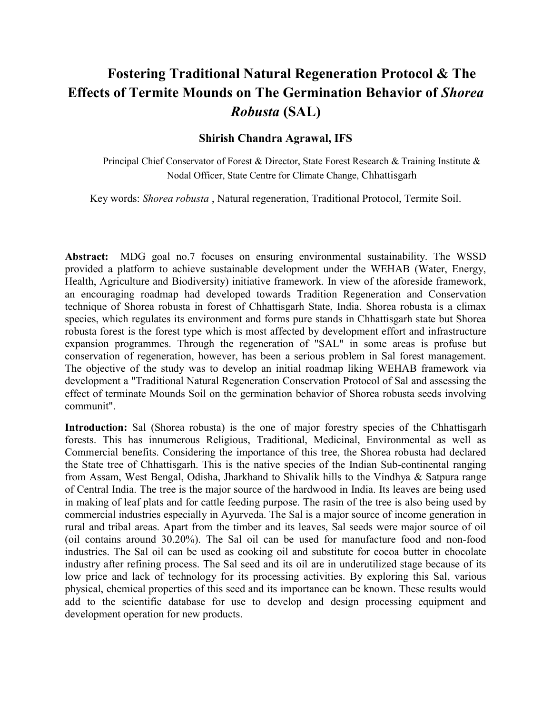## Fostering Traditional Natural Regeneration Protocol & The Effects of Termite Mounds on The Germination Behavior of Shorea Robusta (SAL)

## Shirish Chandra Agrawal, IFS

Principal Chief Conservator of Forest & Director, State Forest Research & Training Institute & Nodal Officer, State Centre for Climate Change, Chhattisgarh

Key words: Shorea robusta , Natural regeneration, Traditional Protocol, Termite Soil.

Abstract: MDG goal no.7 focuses on ensuring environmental sustainability. The WSSD provided a platform to achieve sustainable development under the WEHAB (Water, Energy, Health, Agriculture and Biodiversity) initiative framework. In view of the aforeside framework, an encouraging roadmap had developed towards Tradition Regeneration and Conservation technique of Shorea robusta in forest of Chhattisgarh State, India. Shorea robusta is a climax species, which regulates its environment and forms pure stands in Chhattisgarh state but Shorea robusta forest is the forest type which is most affected by development effort and infrastructure expansion programmes. Through the regeneration of "SAL" in some areas is profuse but conservation of regeneration, however, has been a serious problem in Sal forest management. The objective of the study was to develop an initial roadmap liking WEHAB framework via development a "Traditional Natural Regeneration Conservation Protocol of Sal and assessing the effect of terminate Mounds Soil on the germination behavior of Shorea robusta seeds involving communit".

Introduction: Sal (Shorea robusta) is the one of major forestry species of the Chhattisgarh forests. This has innumerous Religious, Traditional, Medicinal, Environmental as well as Commercial benefits. Considering the importance of this tree, the Shorea robusta had declared the State tree of Chhattisgarh. This is the native species of the Indian Sub-continental ranging from Assam, West Bengal, Odisha, Jharkhand to Shivalik hills to the Vindhya & Satpura range of Central India. The tree is the major source of the hardwood in India. Its leaves are being used in making of leaf plats and for cattle feeding purpose. The rasin of the tree is also being used by commercial industries especially in Ayurveda. The Sal is a major source of income generation in rural and tribal areas. Apart from the timber and its leaves, Sal seeds were major source of oil (oil contains around 30.20%). The Sal oil can be used for manufacture food and non-food industries. The Sal oil can be used as cooking oil and substitute for cocoa butter in chocolate industry after refining process. The Sal seed and its oil are in underutilized stage because of its low price and lack of technology for its processing activities. By exploring this Sal, various physical, chemical properties of this seed and its importance can be known. These results would add to the scientific database for use to develop and design processing equipment and development operation for new products.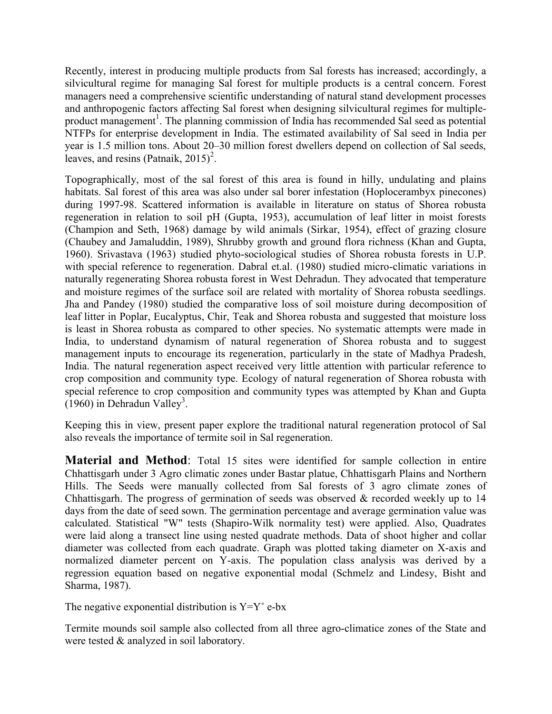Recently, interest in producing multiple products from Sal forests has increased; accordingly, a silvicultural regime for managing Sal forest for multiple products is a central concern. Forest managers need a comprehensive scientific understanding of natural stand development processes and anthropogenic factors affecting Sal forest when designing silvicultural regimes for multipleproduct management<sup>1</sup>. The planning commission of India has recommended Sal seed as potential NTFPs for enterprise development in India. The estimated availability of Sal seed in India per year is 1.5 million tons. About 20–30 million forest dwellers depend on collection of Sal seeds, leaves, and resins (Patnaik,  $2015$ )<sup>2</sup>.

Topographically, most of the sal forest of this area is found in hilly, undulating and plains habitats. Sal forest of this area was also under sal borer infestation (Hoplocerambyx pinecones) during 1997-98. Scattered information is available in literature on status of Shorea robusta regeneration in relation to soil pH (Gupta, 1953), accumulation of leaf litter in moist forests (Champion and Seth, 1968) damage by wild animals (Sirkar, 1954), effect of grazing closure (Chaubey and Jamaluddin, 1989), Shrubby growth and ground flora richness (Khan and Gupta, 1960). Srivastava (1963) studied phyto-sociological studies of Shorea robusta forests in U.P. with special reference to regeneration. Dabral et.al. (1980) studied micro-climatic variations in naturally regenerating Shorea robusta forest in West Dehradun. They advocated that temperature and moisture regimes of the surface soil are related with mortality of Shorea robusta seedlings. Jha and Pandey (1980) studied the comparative loss of soil moisture during decomposition of leaf litter in Poplar, Eucalyptus, Chir, Teak and Shorea robusta and suggested that moisture loss is least in Shorea robusta as compared to other species. No systematic attempts were made in India, to understand dynamism of natural regeneration of Shorea robusta and to suggest management inputs to encourage its regeneration, particularly in the state of Madhya Pradesh, India. The natural regeneration aspect received very little attention with particular reference to crop composition and community type. Ecology of natural regeneration of Shorea robusta with special reference to crop composition and community types was attempted by Khan and Gupta  $(1960)$  in Dehradun Valley<sup>3</sup>.

Keeping this in view, present paper explore the traditional natural regeneration protocol of Sal also reveals the importance of termite soil in Sal regeneration.

Material and Method: Total 15 sites were identified for sample collection in entire Chhattisgarh under 3 Agro climatic zones under Bastar platue, Chhattisgarh Plains and Northern Hills. The Seeds were manually collected from Sal forests of 3 agro climate zones of Chhattisgarh. The progress of germination of seeds was observed & recorded weekly up to 14 days from the date of seed sown. The germination percentage and average germination value was calculated. Statistical "W" tests (Shapiro-Wilk normality test) were applied. Also, Quadrates were laid along a transect line using nested quadrate methods. Data of shoot higher and collar diameter was collected from each quadrate. Graph was plotted taking diameter on X-axis and normalized diameter percent on Y-axis. The population class analysis was derived by a regression equation based on negative exponential modal (Schmelz and Lindesy, Bisht and Sharma, 1987).

The negative exponential distribution is  $Y=Y^{\circ}e-bx$ 

Termite mounds soil sample also collected from all three agro-climatice zones of the State and were tested & analyzed in soil laboratory.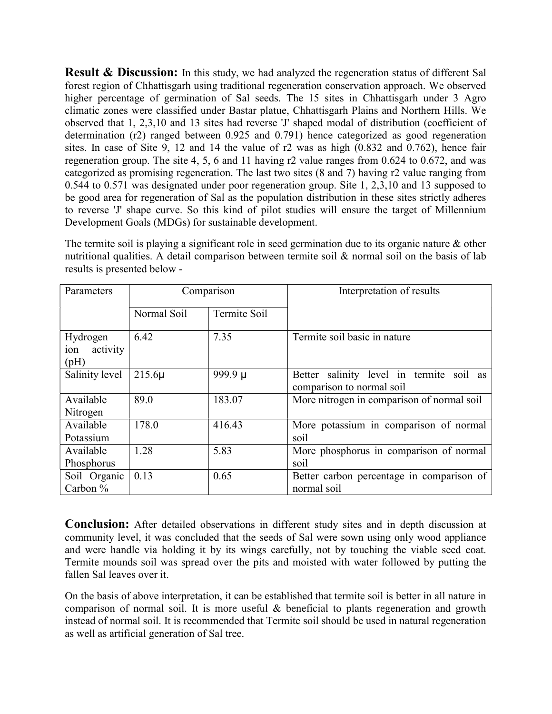**Result & Discussion:** In this study, we had analyzed the regeneration status of different Sal forest region of Chhattisgarh using traditional regeneration conservation approach. We observed higher percentage of germination of Sal seeds. The 15 sites in Chhattisgarh under 3 Agro climatic zones were classified under Bastar platue, Chhattisgarh Plains and Northern Hills. We observed that 1, 2,3,10 and 13 sites had reverse 'J' shaped modal of distribution (coefficient of determination (r2) ranged between 0.925 and 0.791) hence categorized as good regeneration sites. In case of Site 9, 12 and 14 the value of r2 was as high (0.832 and 0.762), hence fair regeneration group. The site 4, 5, 6 and 11 having r2 value ranges from 0.624 to 0.672, and was categorized as promising regeneration. The last two sites (8 and 7) having r2 value ranging from 0.544 to 0.571 was designated under poor regeneration group. Site 1, 2,3,10 and 13 supposed to be good area for regeneration of Sal as the population distribution in these sites strictly adheres to reverse 'J' shape curve. So this kind of pilot studies will ensure the target of Millennium Development Goals (MDGs) for sustainable development.

The termite soil is playing a significant role in seed germination due to its organic nature & other nutritional qualities. A detail comparison between termite soil & normal soil on the basis of lab results is presented below -

| Parameters                          | Comparison  |              | Interpretation of results                                             |
|-------------------------------------|-------------|--------------|-----------------------------------------------------------------------|
|                                     | Normal Soil | Termite Soil |                                                                       |
| Hydrogen<br>activity<br>ion<br>(pH) | 6.42        | 7.35         | Termite soil basic in nature                                          |
| Salinity level                      | $215.6\mu$  | 999.9 µ      | Better salinity level in termite soil as<br>comparison to normal soil |
| Available<br>Nitrogen               | 89.0        | 183.07       | More nitrogen in comparison of normal soil                            |
| Available<br>Potassium              | 178.0       | 416.43       | More potassium in comparison of normal<br>soil                        |
| Available<br>Phosphorus             | 1.28        | 5.83         | More phosphorus in comparison of normal<br>soil                       |
| Soil Organic<br>Carbon $\%$         | 0.13        | 0.65         | Better carbon percentage in comparison of<br>normal soil              |

Conclusion: After detailed observations in different study sites and in depth discussion at community level, it was concluded that the seeds of Sal were sown using only wood appliance and were handle via holding it by its wings carefully, not by touching the viable seed coat. Termite mounds soil was spread over the pits and moisted with water followed by putting the fallen Sal leaves over it.

On the basis of above interpretation, it can be established that termite soil is better in all nature in comparison of normal soil. It is more useful & beneficial to plants regeneration and growth instead of normal soil. It is recommended that Termite soil should be used in natural regeneration as well as artificial generation of Sal tree.